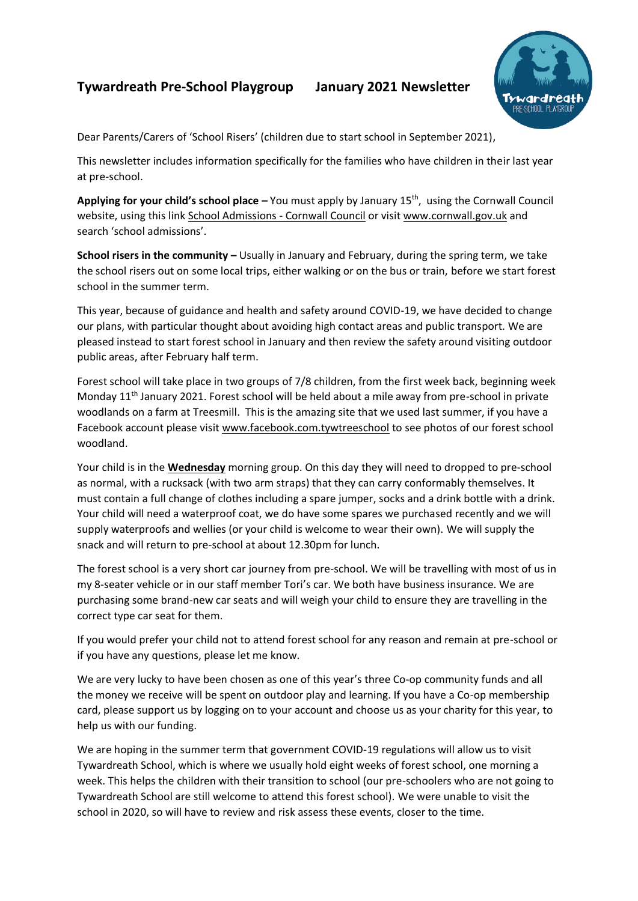## **Tywardreath Pre-School Playgroup January 2021 Newsletter**



Dear Parents/Carers of 'School Risers' (children due to start school in September 2021),

This newsletter includes information specifically for the families who have children in their last year at pre-school.

Applying for your child's school place – You must apply by January 15<sup>th</sup>, using the Cornwall Council website, using this link [School Admissions -](https://www.cornwall.gov.uk/education-and-learning/schools-and-colleges/school-admissions/) Cornwall Council or visit [www.cornwall.gov.uk](http://www.cornwall.gov.uk/) and search 'school admissions'.

**School risers in the community –** Usually in January and February, during the spring term, we take the school risers out on some local trips, either walking or on the bus or train, before we start forest school in the summer term.

This year, because of guidance and health and safety around COVID-19, we have decided to change our plans, with particular thought about avoiding high contact areas and public transport. We are pleased instead to start forest school in January and then review the safety around visiting outdoor public areas, after February half term.

Forest school will take place in two groups of 7/8 children, from the first week back, beginning week Monday 11<sup>th</sup> January 2021. Forest school will be held about a mile away from pre-school in private woodlands on a farm at Treesmill. This is the amazing site that we used last summer, if you have a Facebook account please visit [www.facebook.com.tywtreeschool](http://www.facebook.com.tywtreeschool/) to see photos of our forest school woodland.

Your child is in the **Wednesday** morning group. On this day they will need to dropped to pre-school as normal, with a rucksack (with two arm straps) that they can carry conformably themselves. It must contain a full change of clothes including a spare jumper, socks and a drink bottle with a drink. Your child will need a waterproof coat, we do have some spares we purchased recently and we will supply waterproofs and wellies (or your child is welcome to wear their own). We will supply the snack and will return to pre-school at about 12.30pm for lunch.

The forest school is a very short car journey from pre-school. We will be travelling with most of us in my 8-seater vehicle or in our staff member Tori's car. We both have business insurance. We are purchasing some brand-new car seats and will weigh your child to ensure they are travelling in the correct type car seat for them.

If you would prefer your child not to attend forest school for any reason and remain at pre-school or if you have any questions, please let me know.

We are very lucky to have been chosen as one of this year's three Co-op community funds and all the money we receive will be spent on outdoor play and learning. If you have a Co-op membership card, please support us by logging on to your account and choose us as your charity for this year, to help us with our funding.

We are hoping in the summer term that government COVID-19 regulations will allow us to visit Tywardreath School, which is where we usually hold eight weeks of forest school, one morning a week. This helps the children with their transition to school (our pre-schoolers who are not going to Tywardreath School are still welcome to attend this forest school). We were unable to visit the school in 2020, so will have to review and risk assess these events, closer to the time.